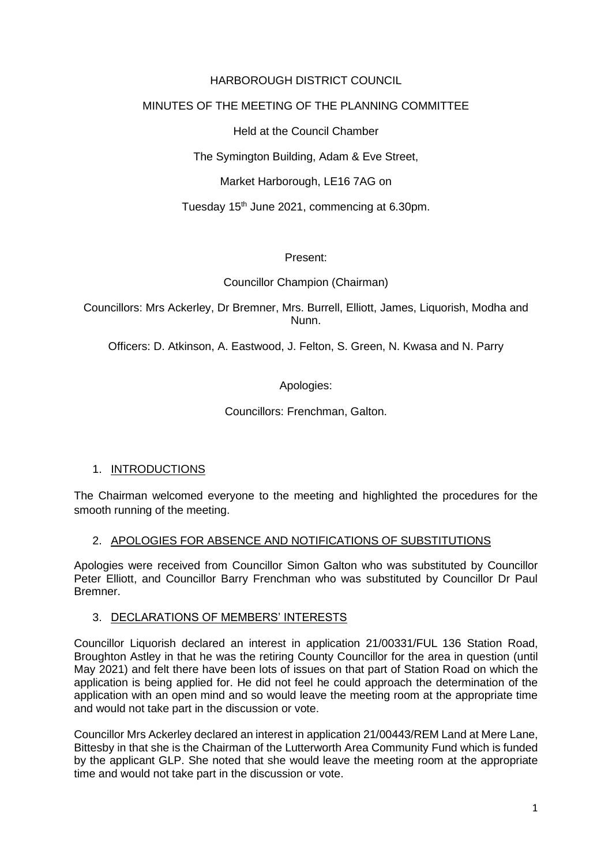## HARBOROUGH DISTRICT COUNCIL

## MINUTES OF THE MEETING OF THE PLANNING COMMITTEE

Held at the Council Chamber

The Symington Building, Adam & Eve Street,

Market Harborough, LE16 7AG on

Tuesday 15th June 2021, commencing at 6.30pm.

#### Present:

Councillor Champion (Chairman)

Councillors: Mrs Ackerley, Dr Bremner, Mrs. Burrell, Elliott, James, Liquorish, Modha and Nunn.

Officers: D. Atkinson, A. Eastwood, J. Felton, S. Green, N. Kwasa and N. Parry

Apologies:

Councillors: Frenchman, Galton.

# 1. INTRODUCTIONS

The Chairman welcomed everyone to the meeting and highlighted the procedures for the smooth running of the meeting.

#### 2. APOLOGIES FOR ABSENCE AND NOTIFICATIONS OF SUBSTITUTIONS

Apologies were received from Councillor Simon Galton who was substituted by Councillor Peter Elliott, and Councillor Barry Frenchman who was substituted by Councillor Dr Paul Bremner.

#### 3. DECLARATIONS OF MEMBERS' INTERESTS

Councillor Liquorish declared an interest in application 21/00331/FUL 136 Station Road, Broughton Astley in that he was the retiring County Councillor for the area in question (until May 2021) and felt there have been lots of issues on that part of Station Road on which the application is being applied for. He did not feel he could approach the determination of the application with an open mind and so would leave the meeting room at the appropriate time and would not take part in the discussion or vote.

Councillor Mrs Ackerley declared an interest in application 21/00443/REM Land at Mere Lane, Bittesby in that she is the Chairman of the Lutterworth Area Community Fund which is funded by the applicant GLP. She noted that she would leave the meeting room at the appropriate time and would not take part in the discussion or vote.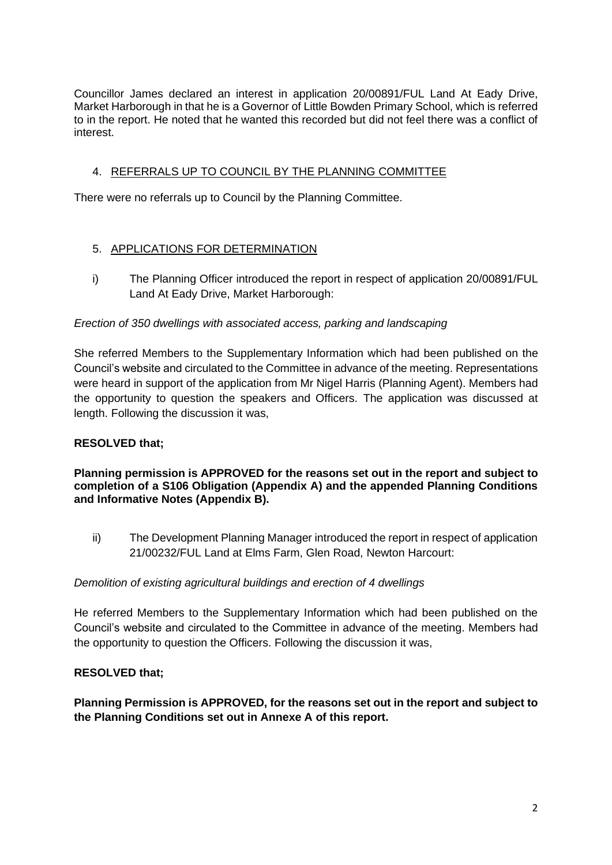Councillor James declared an interest in application 20/00891/FUL Land At Eady Drive, Market Harborough in that he is a Governor of Little Bowden Primary School, which is referred to in the report. He noted that he wanted this recorded but did not feel there was a conflict of interest.

# 4. REFERRALS UP TO COUNCIL BY THE PLANNING COMMITTEE

There were no referrals up to Council by the Planning Committee.

# 5. APPLICATIONS FOR DETERMINATION

i) The Planning Officer introduced the report in respect of application 20/00891/FUL Land At Eady Drive, Market Harborough:

## *Erection of 350 dwellings with associated access, parking and landscaping*

She referred Members to the Supplementary Information which had been published on the Council's website and circulated to the Committee in advance of the meeting. Representations were heard in support of the application from Mr Nigel Harris (Planning Agent). Members had the opportunity to question the speakers and Officers. The application was discussed at length. Following the discussion it was,

# **RESOLVED that;**

**Planning permission is APPROVED for the reasons set out in the report and subject to completion of a S106 Obligation (Appendix A) and the appended Planning Conditions and Informative Notes (Appendix B).**

ii) The Development Planning Manager introduced the report in respect of application 21/00232/FUL Land at Elms Farm, Glen Road, Newton Harcourt:

#### *Demolition of existing agricultural buildings and erection of 4 dwellings*

He referred Members to the Supplementary Information which had been published on the Council's website and circulated to the Committee in advance of the meeting. Members had the opportunity to question the Officers. Following the discussion it was,

#### **RESOLVED that;**

**Planning Permission is APPROVED, for the reasons set out in the report and subject to the Planning Conditions set out in Annexe A of this report.**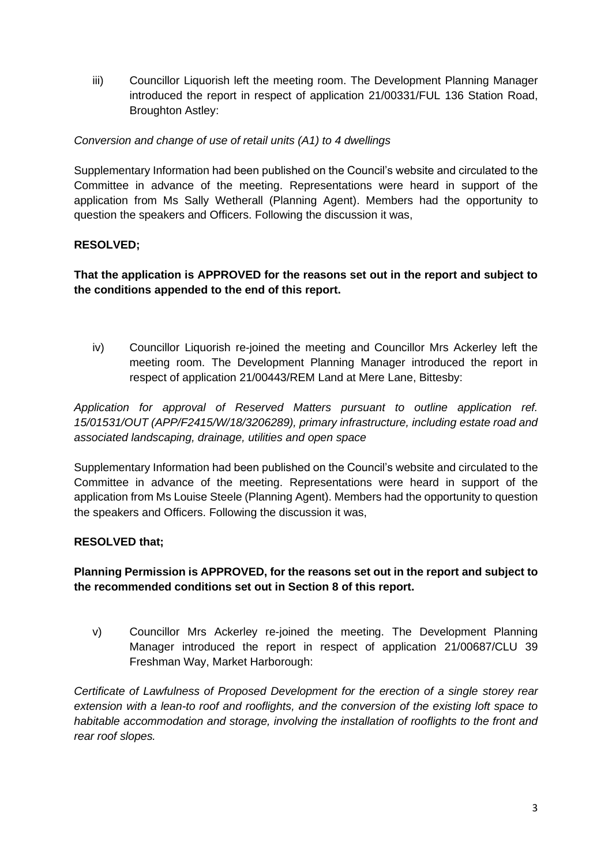iii) Councillor Liquorish left the meeting room. The Development Planning Manager introduced the report in respect of application 21/00331/FUL 136 Station Road, Broughton Astley:

## *Conversion and change of use of retail units (A1) to 4 dwellings*

Supplementary Information had been published on the Council's website and circulated to the Committee in advance of the meeting. Representations were heard in support of the application from Ms Sally Wetherall (Planning Agent). Members had the opportunity to question the speakers and Officers. Following the discussion it was,

# **RESOLVED;**

## **That the application is APPROVED for the reasons set out in the report and subject to the conditions appended to the end of this report.**

iv) Councillor Liquorish re-joined the meeting and Councillor Mrs Ackerley left the meeting room. The Development Planning Manager introduced the report in respect of application 21/00443/REM Land at Mere Lane, Bittesby:

*Application for approval of Reserved Matters pursuant to outline application ref. 15/01531/OUT (APP/F2415/W/18/3206289), primary infrastructure, including estate road and associated landscaping, drainage, utilities and open space*

Supplementary Information had been published on the Council's website and circulated to the Committee in advance of the meeting. Representations were heard in support of the application from Ms Louise Steele (Planning Agent). Members had the opportunity to question the speakers and Officers. Following the discussion it was,

#### **RESOLVED that;**

## **Planning Permission is APPROVED, for the reasons set out in the report and subject to the recommended conditions set out in Section 8 of this report.**

v) Councillor Mrs Ackerley re-joined the meeting. The Development Planning Manager introduced the report in respect of application 21/00687/CLU 39 Freshman Way, Market Harborough:

*Certificate of Lawfulness of Proposed Development for the erection of a single storey rear extension with a lean-to roof and rooflights, and the conversion of the existing loft space to habitable accommodation and storage, involving the installation of rooflights to the front and rear roof slopes.*